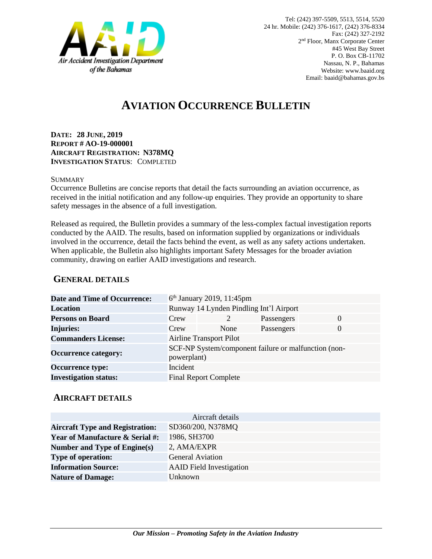

# **AVIATION OCCURRENCE BULLETIN**

**DATE: 28 JUNE, 2019 REPORT # AO-19-000001 AIRCRAFT REGISTRATION: N378MQ INVESTIGATION STATUS**: COMPLETED

#### **SUMMARY**

Occurrence Bulletins are concise reports that detail the facts surrounding an aviation occurrence, as received in the initial notification and any follow-up enquiries. They provide an opportunity to share safety messages in the absence of a full investigation*.*

Released as required, the Bulletin provides a summary of the less-complex factual investigation reports conducted by the AAID. The results, based on information supplied by organizations or individuals involved in the occurrence, detail the facts behind the event, as well as any safety actions undertaken. When applicable, the Bulletin also highlights important Safety Messages for the broader aviation community, drawing on earlier AAID investigations and research.

### **GENERAL DETAILS**

| <b>Date and Time of Occurrence:</b> |                                                                     | $6th$ January 2019, 11:45pm  |            |          |
|-------------------------------------|---------------------------------------------------------------------|------------------------------|------------|----------|
| <b>Location</b>                     | Runway 14 Lynden Pindling Int'l Airport                             |                              |            |          |
| <b>Persons on Board</b>             | Crew                                                                |                              | Passengers | $\Omega$ |
| <b>Injuries:</b>                    | Crew                                                                | None                         | Passengers | $\Omega$ |
| <b>Commanders License:</b>          | <b>Airline Transport Pilot</b>                                      |                              |            |          |
| <b>Occurrence category:</b>         | SCF-NP System/component failure or malfunction (non-<br>powerplant) |                              |            |          |
| <b>Occurrence type:</b>             | Incident                                                            |                              |            |          |
| <b>Investigation status:</b>        |                                                                     | <b>Final Report Complete</b> |            |          |

#### **AIRCRAFT DETAILS**

|                                            | Aircraft details                |
|--------------------------------------------|---------------------------------|
| <b>Aircraft Type and Registration:</b>     | SD360/200, N378MQ               |
| <b>Year of Manufacture &amp; Serial #:</b> | 1986, SH3700                    |
| Number and Type of Engine(s)               | 2, AMA/EXPR                     |
| <b>Type of operation:</b>                  | <b>General Aviation</b>         |
| <b>Information Source:</b>                 | <b>AAID</b> Field Investigation |
| <b>Nature of Damage:</b>                   | Unknown                         |